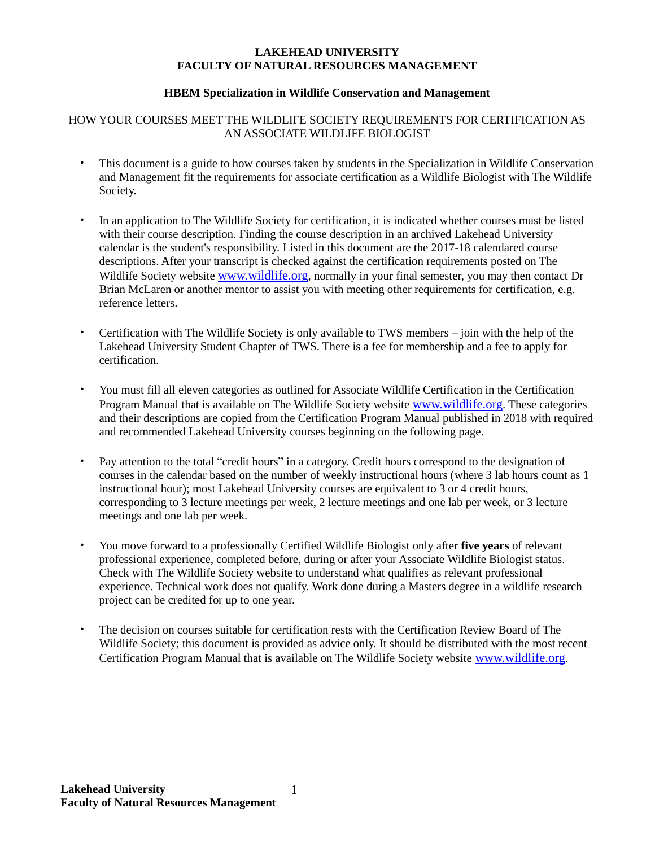#### **LAKEHEAD UNIVERSITY FACULTY OF NATURAL RESOURCES MANAGEMENT**

#### **HBEM Specialization in Wildlife Conservation and Management**

## HOW YOUR COURSES MEET THE WILDLIFE SOCIETY REQUIREMENTS FOR CERTIFICATION AS AN ASSOCIATE WILDLIFE BIOLOGIST

- This document is a guide to how courses taken by students in the Specialization in Wildlife Conservation and Management fit the requirements for associate certification as a Wildlife Biologist with The Wildlife Society.
- In an application to The Wildlife Society for certification, it is indicated whether courses must be listed with their course description. Finding the course description in an archived Lakehead University calendar is the student's responsibility. Listed in this document are the 2017-18 calendared course descriptions. After your transcript is checked against the certification requirements posted on The Wildlife Society website [www.wildlife.org](http://www.wildlife.org/), normally in your final semester, you may then contact Dr Brian McLaren or another mentor to assist you with meeting other requirements for certification, e.g. reference letters.
- Certification with The Wildlife Society is only available to TWS members join with the help of the Lakehead University Student Chapter of TWS. There is a fee for membership and a fee to apply for certification.
- You must fill all eleven categories as outlined for Associate Wildlife Certification in the Certification Program Manual that is available on The Wildlife Society website [www.wildlife.org](http://www.wildlife.org/). These categories and their descriptions are copied from the Certification Program Manual published in 2018 with required and recommended Lakehead University courses beginning on the following page.
- Pay attention to the total "credit hours" in a category. Credit hours correspond to the designation of courses in the calendar based on the number of weekly instructional hours (where 3 lab hours count as 1 instructional hour); most Lakehead University courses are equivalent to 3 or 4 credit hours, corresponding to 3 lecture meetings per week, 2 lecture meetings and one lab per week, or 3 lecture meetings and one lab per week.
- You move forward to a professionally Certified Wildlife Biologist only after **five years** of relevant professional experience, completed before, during or after your Associate Wildlife Biologist status. Check with The Wildlife Society website to understand what qualifies as relevant professional experience. Technical work does not qualify. Work done during a Masters degree in a wildlife research project can be credited for up to one year.
- The decision on courses suitable for certification rests with the Certification Review Board of The Wildlife Society; this document is provided as advice only. It should be distributed with the most recent Certification Program Manual that is available on The Wildlife Society website [www.wildlife.org](http://www.wildlife.org/).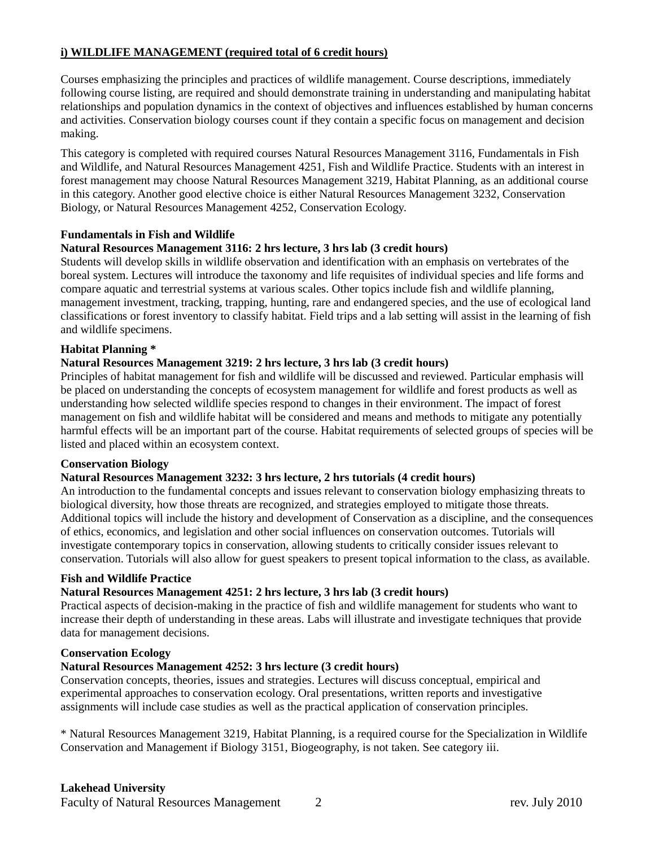## **i) WILDLIFE MANAGEMENT (required total of 6 credit hours)**

Courses emphasizing the principles and practices of wildlife management. Course descriptions, immediately following course listing, are required and should demonstrate training in understanding and manipulating habitat relationships and population dynamics in the context of objectives and influences established by human concerns and activities. Conservation biology courses count if they contain a specific focus on management and decision making.

This category is completed with required courses Natural Resources Management 3116, Fundamentals in Fish and Wildlife, and Natural Resources Management 4251, Fish and Wildlife Practice. Students with an interest in forest management may choose Natural Resources Management 3219, Habitat Planning, as an additional course in this category. Another good elective choice is either Natural Resources Management 3232, Conservation Biology, or Natural Resources Management 4252, Conservation Ecology.

#### **Fundamentals in Fish and Wildlife**

## **Natural Resources Management 3116: 2 hrs lecture, 3 hrs lab (3 credit hours)**

Students will develop skills in wildlife observation and identification with an emphasis on vertebrates of the boreal system. Lectures will introduce the taxonomy and life requisites of individual species and life forms and compare aquatic and terrestrial systems at various scales. Other topics include fish and wildlife planning, management investment, tracking, trapping, hunting, rare and endangered species, and the use of ecological land classifications or forest inventory to classify habitat. Field trips and a lab setting will assist in the learning of fish and wildlife specimens.

#### **Habitat Planning \***

#### **Natural Resources Management 3219: 2 hrs lecture, 3 hrs lab (3 credit hours)**

Principles of habitat management for fish and wildlife will be discussed and reviewed. Particular emphasis will be placed on understanding the concepts of ecosystem management for wildlife and forest products as well as understanding how selected wildlife species respond to changes in their environment. The impact of forest management on fish and wildlife habitat will be considered and means and methods to mitigate any potentially harmful effects will be an important part of the course. Habitat requirements of selected groups of species will be listed and placed within an ecosystem context.

#### **Conservation Biology**

#### **Natural Resources Management 3232: 3 hrs lecture, 2 hrs tutorials (4 credit hours)**

An introduction to the fundamental concepts and issues relevant to conservation biology emphasizing threats to biological diversity, how those threats are recognized, and strategies employed to mitigate those threats. Additional topics will include the history and development of Conservation as a discipline, and the consequences of ethics, economics, and legislation and other social influences on conservation outcomes. Tutorials will investigate contemporary topics in conservation, allowing students to critically consider issues relevant to conservation. Tutorials will also allow for guest speakers to present topical information to the class, as available.

#### **Fish and Wildlife Practice**

## **Natural Resources Management 4251: 2 hrs lecture, 3 hrs lab (3 credit hours)**

Practical aspects of decision-making in the practice of fish and wildlife management for students who want to increase their depth of understanding in these areas. Labs will illustrate and investigate techniques that provide data for management decisions.

#### **Conservation Ecology**

#### **Natural Resources Management 4252: 3 hrs lecture (3 credit hours)**

Conservation concepts, theories, issues and strategies. Lectures will discuss conceptual, empirical and experimental approaches to conservation ecology. Oral presentations, written reports and investigative assignments will include case studies as well as the practical application of conservation principles.

\* Natural Resources Management 3219, Habitat Planning, is a required course for the Specialization in Wildlife Conservation and Management if Biology 3151, Biogeography, is not taken. See category iii.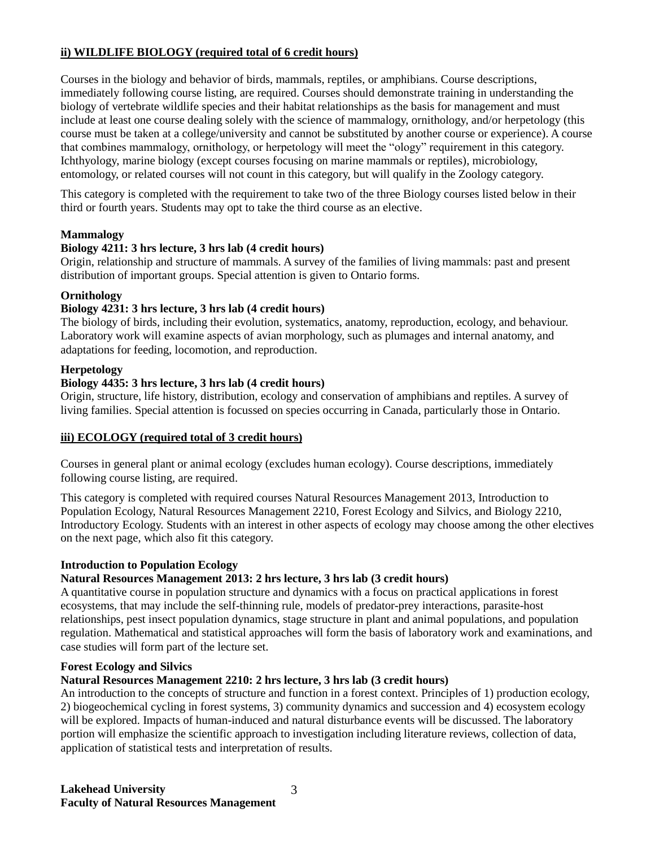## **ii) WILDLIFE BIOLOGY (required total of 6 credit hours)**

Courses in the biology and behavior of birds, mammals, reptiles, or amphibians. Course descriptions, immediately following course listing, are required. Courses should demonstrate training in understanding the biology of vertebrate wildlife species and their habitat relationships as the basis for management and must include at least one course dealing solely with the science of mammalogy, ornithology, and/or herpetology (this course must be taken at a college/university and cannot be substituted by another course or experience). A course that combines mammalogy, ornithology, or herpetology will meet the "ology" requirement in this category. Ichthyology, marine biology (except courses focusing on marine mammals or reptiles), microbiology, entomology, or related courses will not count in this category, but will qualify in the Zoology category.

This category is completed with the requirement to take two of the three Biology courses listed below in their third or fourth years. Students may opt to take the third course as an elective.

## **Mammalogy**

#### **Biology 4211: 3 hrs lecture, 3 hrs lab (4 credit hours)**

Origin, relationship and structure of mammals. A survey of the families of living mammals: past and present distribution of important groups. Special attention is given to Ontario forms.

#### **Ornithology**

#### **Biology 4231: 3 hrs lecture, 3 hrs lab (4 credit hours)**

The biology of birds, including their evolution, systematics, anatomy, reproduction, ecology, and behaviour. Laboratory work will examine aspects of avian morphology, such as plumages and internal anatomy, and adaptations for feeding, locomotion, and reproduction.

#### **Herpetology**

#### **Biology 4435: 3 hrs lecture, 3 hrs lab (4 credit hours)**

Origin, structure, life history, distribution, ecology and conservation of amphibians and reptiles. A survey of living families. Special attention is focussed on species occurring in Canada, particularly those in Ontario.

#### **iii) ECOLOGY (required total of 3 credit hours)**

Courses in general plant or animal ecology (excludes human ecology). Course descriptions, immediately following course listing, are required.

This category is completed with required courses Natural Resources Management 2013, Introduction to Population Ecology, Natural Resources Management 2210, Forest Ecology and Silvics, and Biology 2210, Introductory Ecology. Students with an interest in other aspects of ecology may choose among the other electives on the next page, which also fit this category.

#### **Introduction to Population Ecology**

#### **Natural Resources Management 2013: 2 hrs lecture, 3 hrs lab (3 credit hours)**

A quantitative course in population structure and dynamics with a focus on practical applications in forest ecosystems, that may include the self-thinning rule, models of predator-prey interactions, parasite-host relationships, pest insect population dynamics, stage structure in plant and animal populations, and population regulation. Mathematical and statistical approaches will form the basis of laboratory work and examinations, and case studies will form part of the lecture set.

#### **Forest Ecology and Silvics**

#### **Natural Resources Management 2210: 2 hrs lecture, 3 hrs lab (3 credit hours)**

An introduction to the concepts of structure and function in a forest context. Principles of 1) production ecology, 2) biogeochemical cycling in forest systems, 3) community dynamics and succession and 4) ecosystem ecology will be explored. Impacts of human-induced and natural disturbance events will be discussed. The laboratory portion will emphasize the scientific approach to investigation including literature reviews, collection of data, application of statistical tests and interpretation of results.

 $3<sub>1</sub>$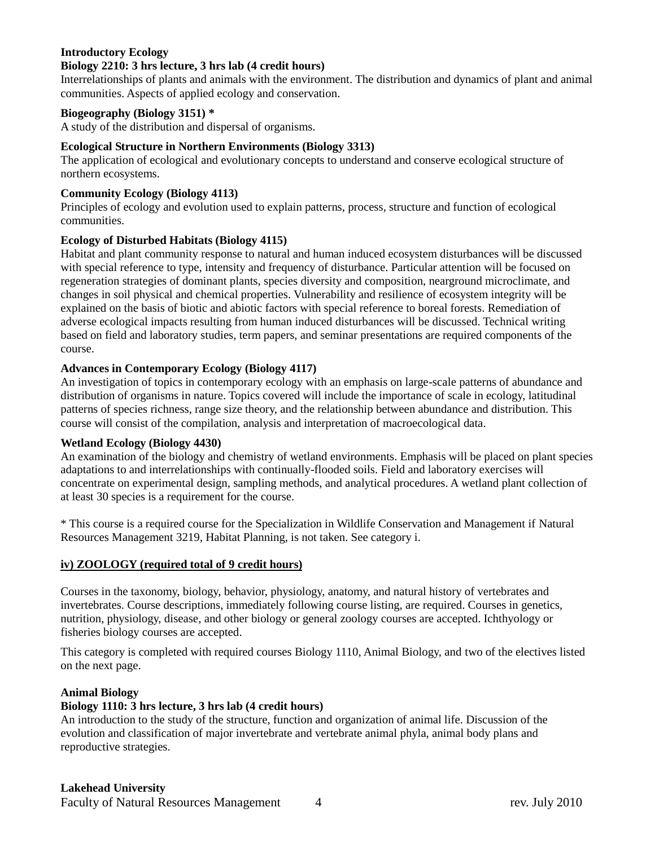#### **Introductory Ecology**

#### **Biology 2210: 3 hrs lecture, 3 hrs lab (4 credit hours)**

Interrelationships of plants and animals with the environment. The distribution and dynamics of plant and animal communities. Aspects of applied ecology and conservation.

#### **Biogeography (Biology 3151) \***

A study of the distribution and dispersal of organisms.

#### **Ecological Structure in Northern Environments (Biology 3313)**

The application of ecological and evolutionary concepts to understand and conserve ecological structure of northern ecosystems.

#### **Community Ecology (Biology 4113)**

Principles of ecology and evolution used to explain patterns, process, structure and function of ecological communities.

#### **Ecology of Disturbed Habitats (Biology 4115)**

Habitat and plant community response to natural and human induced ecosystem disturbances will be discussed with special reference to type, intensity and frequency of disturbance. Particular attention will be focused on regeneration strategies of dominant plants, species diversity and composition, nearground microclimate, and changes in soil physical and chemical properties. Vulnerability and resilience of ecosystem integrity will be explained on the basis of biotic and abiotic factors with special reference to boreal forests. Remediation of adverse ecological impacts resulting from human induced disturbances will be discussed. Technical writing based on field and laboratory studies, term papers, and seminar presentations are required components of the course.

#### **Advances in Contemporary Ecology (Biology 4117)**

An investigation of topics in contemporary ecology with an emphasis on large-scale patterns of abundance and distribution of organisms in nature. Topics covered will include the importance of scale in ecology, latitudinal patterns of species richness, range size theory, and the relationship between abundance and distribution. This course will consist of the compilation, analysis and interpretation of macroecological data.

#### **Wetland Ecology (Biology 4430)**

An examination of the biology and chemistry of wetland environments. Emphasis will be placed on plant species adaptations to and interrelationships with continually-flooded soils. Field and laboratory exercises will concentrate on experimental design, sampling methods, and analytical procedures. A wetland plant collection of at least 30 species is a requirement for the course.

\* This course is a required course for the Specialization in Wildlife Conservation and Management if Natural Resources Management 3219, Habitat Planning, is not taken. See category i.

#### **iv) ZOOLOGY (required total of 9 credit hours)**

Courses in the taxonomy, biology, behavior, physiology, anatomy, and natural history of vertebrates and invertebrates. Course descriptions, immediately following course listing, are required. Courses in genetics, nutrition, physiology, disease, and other biology or general zoology courses are accepted. Ichthyology or fisheries biology courses are accepted.

This category is completed with required courses Biology 1110, Animal Biology, and two of the electives listed on the next page.

#### **Animal Biology**

#### **Biology 1110: 3 hrs lecture, 3 hrs lab (4 credit hours)**

An introduction to the study of the structure, function and organization of animal life. Discussion of the evolution and classification of major invertebrate and vertebrate animal phyla, animal body plans and reproductive strategies.

## **Lakehead University**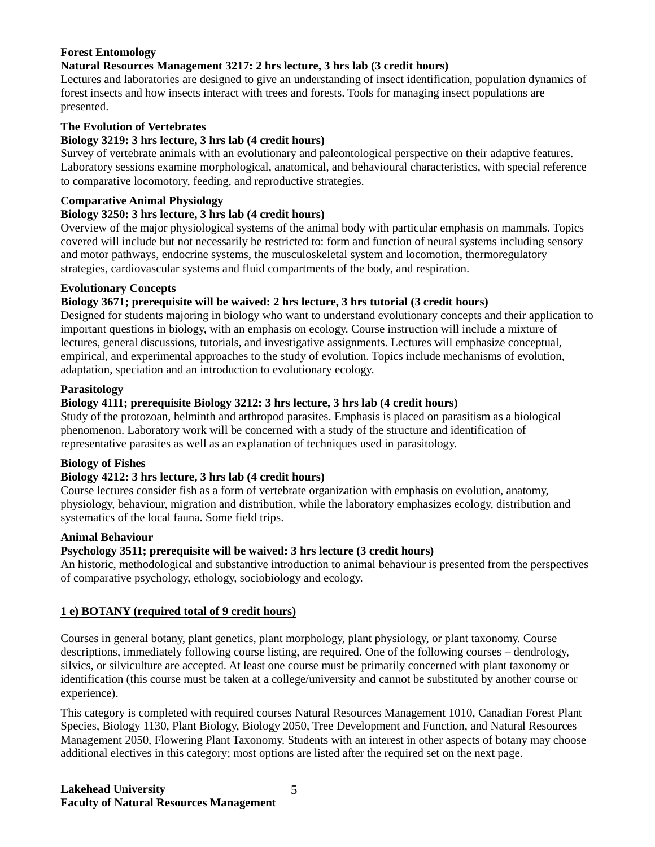## **Forest Entomology**

## **Natural Resources Management 3217: 2 hrs lecture, 3 hrs lab (3 credit hours)**

Lectures and laboratories are designed to give an understanding of insect identification, population dynamics of forest insects and how insects interact with trees and forests. Tools for managing insect populations are presented.

## **The Evolution of Vertebrates**

#### **Biology 3219: 3 hrs lecture, 3 hrs lab (4 credit hours)**

Survey of vertebrate animals with an evolutionary and paleontological perspective on their adaptive features. Laboratory sessions examine morphological, anatomical, and behavioural characteristics, with special reference to comparative locomotory, feeding, and reproductive strategies.

#### **Comparative Animal Physiology**

## **Biology 3250: 3 hrs lecture, 3 hrs lab (4 credit hours)**

Overview of the major physiological systems of the animal body with particular emphasis on mammals. Topics covered will include but not necessarily be restricted to: form and function of neural systems including sensory and motor pathways, endocrine systems, the musculoskeletal system and locomotion, thermoregulatory strategies, cardiovascular systems and fluid compartments of the body, and respiration.

#### **Evolutionary Concepts**

## **Biology 3671; prerequisite will be waived: 2 hrs lecture, 3 hrs tutorial (3 credit hours)**

Designed for students majoring in biology who want to understand evolutionary concepts and their application to important questions in biology, with an emphasis on ecology. Course instruction will include a mixture of lectures, general discussions, tutorials, and investigative assignments. Lectures will emphasize conceptual, empirical, and experimental approaches to the study of evolution. Topics include mechanisms of evolution, adaptation, speciation and an introduction to evolutionary ecology.

#### **Parasitology**

## **Biology 4111; prerequisite Biology 3212: 3 hrs lecture, 3 hrs lab (4 credit hours)**

Study of the protozoan, helminth and arthropod parasites. Emphasis is placed on parasitism as a biological phenomenon. Laboratory work will be concerned with a study of the structure and identification of representative parasites as well as an explanation of techniques used in parasitology.

#### **Biology of Fishes**

#### **Biology 4212: 3 hrs lecture, 3 hrs lab (4 credit hours)**

Course lectures consider fish as a form of vertebrate organization with emphasis on evolution, anatomy, physiology, behaviour, migration and distribution, while the laboratory emphasizes ecology, distribution and systematics of the local fauna. Some field trips.

#### **Animal Behaviour**

## **Psychology 3511; prerequisite will be waived: 3 hrs lecture (3 credit hours)**

An historic, methodological and substantive introduction to animal behaviour is presented from the perspectives of comparative psychology, ethology, sociobiology and ecology.

#### **1 e) BOTANY (required total of 9 credit hours)**

Courses in general botany, plant genetics, plant morphology, plant physiology, or plant taxonomy. Course descriptions, immediately following course listing, are required. One of the following courses – dendrology, silvics, or silviculture are accepted. At least one course must be primarily concerned with plant taxonomy or identification (this course must be taken at a college/university and cannot be substituted by another course or experience).

This category is completed with required courses Natural Resources Management 1010, Canadian Forest Plant Species, Biology 1130, Plant Biology, Biology 2050, Tree Development and Function, and Natural Resources Management 2050, Flowering Plant Taxonomy. Students with an interest in other aspects of botany may choose additional electives in this category; most options are listed after the required set on the next page.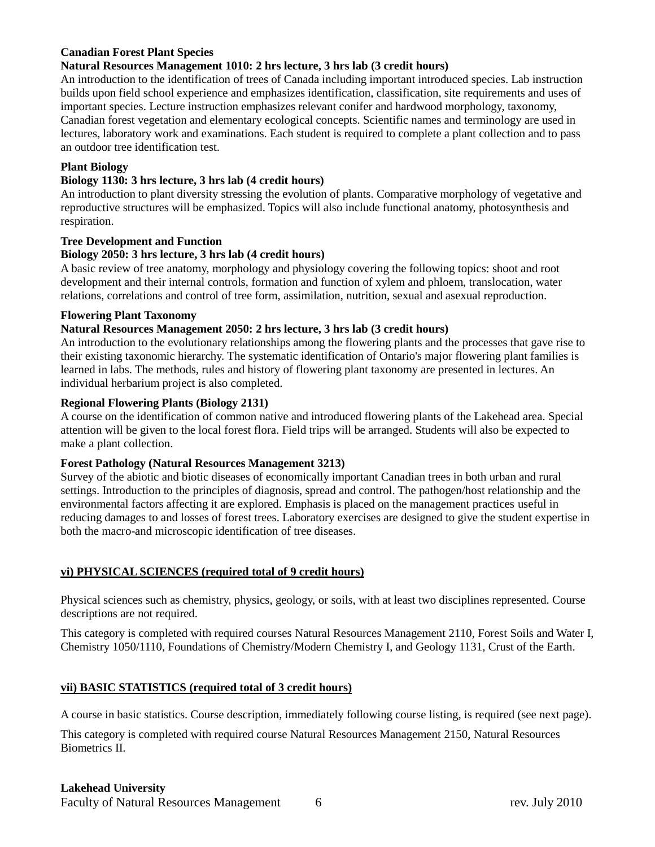## **Canadian Forest Plant Species**

#### **Natural Resources Management 1010: 2 hrs lecture, 3 hrs lab (3 credit hours)**

An introduction to the identification of trees of Canada including important introduced species. Lab instruction builds upon field school experience and emphasizes identification, classification, site requirements and uses of important species. Lecture instruction emphasizes relevant conifer and hardwood morphology, taxonomy, Canadian forest vegetation and elementary ecological concepts. Scientific names and terminology are used in lectures, laboratory work and examinations. Each student is required to complete a plant collection and to pass an outdoor tree identification test.

#### **Plant Biology**

## **Biology 1130: 3 hrs lecture, 3 hrs lab (4 credit hours)**

An introduction to plant diversity stressing the evolution of plants. Comparative morphology of vegetative and reproductive structures will be emphasized. Topics will also include functional anatomy, photosynthesis and respiration.

#### **Tree Development and Function**

#### **Biology 2050: 3 hrs lecture, 3 hrs lab (4 credit hours)**

A basic review of tree anatomy, morphology and physiology covering the following topics: shoot and root development and their internal controls, formation and function of xylem and phloem, translocation, water relations, correlations and control of tree form, assimilation, nutrition, sexual and asexual reproduction.

#### **Flowering Plant Taxonomy**

#### **Natural Resources Management 2050: 2 hrs lecture, 3 hrs lab (3 credit hours)**

An introduction to the evolutionary relationships among the flowering plants and the processes that gave rise to their existing taxonomic hierarchy. The systematic identification of Ontario's major flowering plant families is learned in labs. The methods, rules and history of flowering plant taxonomy are presented in lectures. An individual herbarium project is also completed.

#### **Regional Flowering Plants (Biology 2131)**

A course on the identification of common native and introduced flowering plants of the Lakehead area. Special attention will be given to the local forest flora. Field trips will be arranged. Students will also be expected to make a plant collection.

#### **Forest Pathology (Natural Resources Management 3213)**

Survey of the abiotic and biotic diseases of economically important Canadian trees in both urban and rural settings. Introduction to the principles of diagnosis, spread and control. The pathogen/host relationship and the environmental factors affecting it are explored. Emphasis is placed on the management practices useful in reducing damages to and losses of forest trees. Laboratory exercises are designed to give the student expertise in both the macro-and microscopic identification of tree diseases.

#### **vi) PHYSICAL SCIENCES (required total of 9 credit hours)**

Physical sciences such as chemistry, physics, geology, or soils, with at least two disciplines represented. Course descriptions are not required.

This category is completed with required courses Natural Resources Management 2110, Forest Soils and Water I, Chemistry 1050/1110, Foundations of Chemistry/Modern Chemistry I, and Geology 1131, Crust of the Earth.

#### **vii) BASIC STATISTICS (required total of 3 credit hours)**

A course in basic statistics. Course description, immediately following course listing, is required (see next page).

This category is completed with required course Natural Resources Management 2150, Natural Resources Biometrics II.

# **Lakehead University**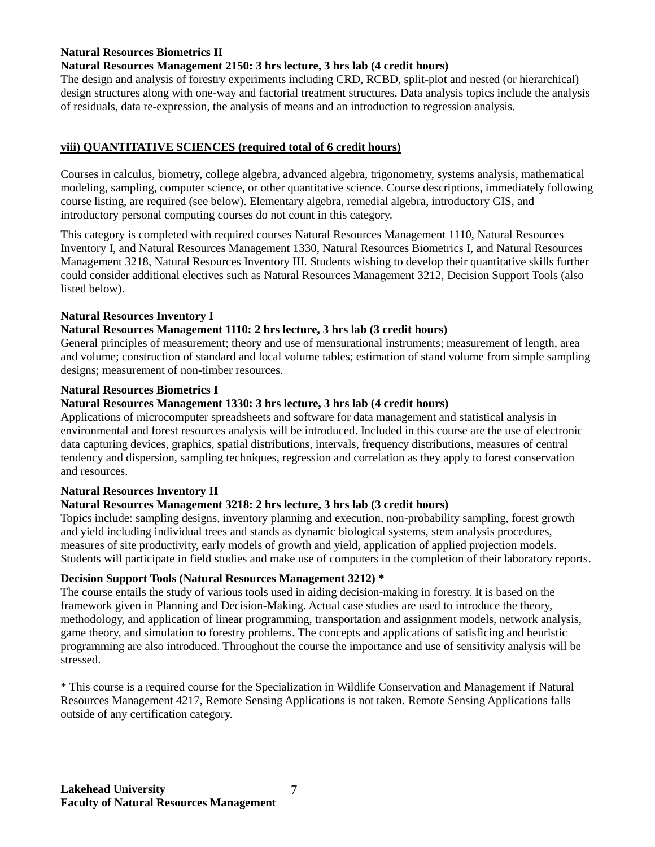## **Natural Resources Biometrics II**

#### **Natural Resources Management 2150: 3 hrs lecture, 3 hrs lab (4 credit hours)**

The design and analysis of forestry experiments including CRD, RCBD, split-plot and nested (or hierarchical) design structures along with one-way and factorial treatment structures. Data analysis topics include the analysis of residuals, data re-expression, the analysis of means and an introduction to regression analysis.

## **viii) QUANTITATIVE SCIENCES (required total of 6 credit hours)**

Courses in calculus, biometry, college algebra, advanced algebra, trigonometry, systems analysis, mathematical modeling, sampling, computer science, or other quantitative science. Course descriptions, immediately following course listing, are required (see below). Elementary algebra, remedial algebra, introductory GIS, and introductory personal computing courses do not count in this category.

This category is completed with required courses Natural Resources Management 1110, Natural Resources Inventory I, and Natural Resources Management 1330, Natural Resources Biometrics I, and Natural Resources Management 3218, Natural Resources Inventory III. Students wishing to develop their quantitative skills further could consider additional electives such as Natural Resources Management 3212, Decision Support Tools (also listed below).

#### **Natural Resources Inventory I**

#### **Natural Resources Management 1110: 2 hrs lecture, 3 hrs lab (3 credit hours)**

General principles of measurement; theory and use of mensurational instruments; measurement of length, area and volume; construction of standard and local volume tables; estimation of stand volume from simple sampling designs; measurement of non-timber resources.

#### **Natural Resources Biometrics I**

#### **Natural Resources Management 1330: 3 hrs lecture, 3 hrs lab (4 credit hours)**

Applications of microcomputer spreadsheets and software for data management and statistical analysis in environmental and forest resources analysis will be introduced. Included in this course are the use of electronic data capturing devices, graphics, spatial distributions, intervals, frequency distributions, measures of central tendency and dispersion, sampling techniques, regression and correlation as they apply to forest conservation and resources.

## **Natural Resources Inventory II**

#### **Natural Resources Management 3218: 2 hrs lecture, 3 hrs lab (3 credit hours)**

Topics include: sampling designs, inventory planning and execution, non-probability sampling, forest growth and yield including individual trees and stands as dynamic biological systems, stem analysis procedures, measures of site productivity, early models of growth and yield, application of applied projection models. Students will participate in field studies and make use of computers in the completion of their laboratory reports.

#### **Decision Support Tools (Natural Resources Management 3212) \***

The course entails the study of various tools used in aiding decision-making in forestry. It is based on the framework given in Planning and Decision-Making. Actual case studies are used to introduce the theory, methodology, and application of linear programming, transportation and assignment models, network analysis, game theory, and simulation to forestry problems. The concepts and applications of satisficing and heuristic programming are also introduced. Throughout the course the importance and use of sensitivity analysis will be stressed.

\* This course is a required course for the Specialization in Wildlife Conservation and Management if Natural Resources Management 4217, Remote Sensing Applications is not taken. Remote Sensing Applications falls outside of any certification category.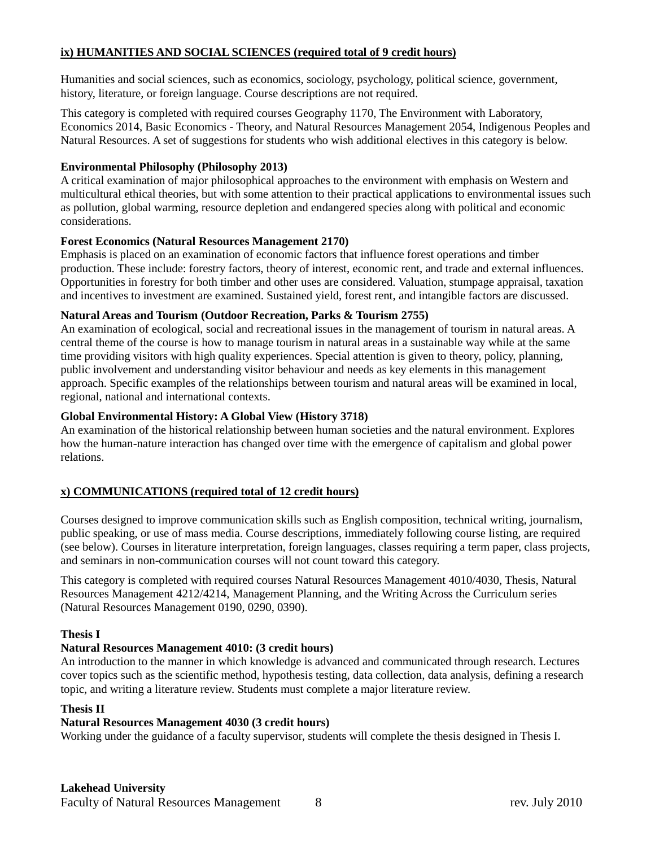## **ix) HUMANITIES AND SOCIAL SCIENCES (required total of 9 credit hours)**

Humanities and social sciences, such as economics, sociology, psychology, political science, government, history, literature, or foreign language. Course descriptions are not required.

This category is completed with required courses Geography 1170, The Environment with Laboratory, Economics 2014, Basic Economics - Theory, and Natural Resources Management 2054, Indigenous Peoples and Natural Resources. A set of suggestions for students who wish additional electives in this category is below.

#### **Environmental Philosophy (Philosophy 2013)**

A critical examination of major philosophical approaches to the environment with emphasis on Western and multicultural ethical theories, but with some attention to their practical applications to environmental issues such as pollution, global warming, resource depletion and endangered species along with political and economic considerations.

#### **Forest Economics (Natural Resources Management 2170)**

Emphasis is placed on an examination of economic factors that influence forest operations and timber production. These include: forestry factors, theory of interest, economic rent, and trade and external influences. Opportunities in forestry for both timber and other uses are considered. Valuation, stumpage appraisal, taxation and incentives to investment are examined. Sustained yield, forest rent, and intangible factors are discussed.

#### **Natural Areas and Tourism (Outdoor Recreation, Parks & Tourism 2755)**

An examination of ecological, social and recreational issues in the management of tourism in natural areas. A central theme of the course is how to manage tourism in natural areas in a sustainable way while at the same time providing visitors with high quality experiences. Special attention is given to theory, policy, planning, public involvement and understanding visitor behaviour and needs as key elements in this management approach. Specific examples of the relationships between tourism and natural areas will be examined in local, regional, national and international contexts.

#### **Global Environmental History: A Global View (History 3718)**

An examination of the historical relationship between human societies and the natural environment. Explores how the human-nature interaction has changed over time with the emergence of capitalism and global power relations.

## **x) COMMUNICATIONS (required total of 12 credit hours)**

Courses designed to improve communication skills such as English composition, technical writing, journalism, public speaking, or use of mass media. Course descriptions, immediately following course listing, are required (see below). Courses in literature interpretation, foreign languages, classes requiring a term paper, class projects, and seminars in non-communication courses will not count toward this category.

This category is completed with required courses Natural Resources Management 4010/4030, Thesis, Natural Resources Management 4212/4214, Management Planning, and the Writing Across the Curriculum series (Natural Resources Management 0190, 0290, 0390).

## **Thesis I**

## **Natural Resources Management 4010: (3 credit hours)**

An introduction to the manner in which knowledge is advanced and communicated through research. Lectures cover topics such as the scientific method, hypothesis testing, data collection, data analysis, defining a research topic, and writing a literature review. Students must complete a major literature review.

#### **Thesis II**

## **Natural Resources Management 4030 (3 credit hours)**

Working under the guidance of a faculty supervisor, students will complete the thesis designed in Thesis I.